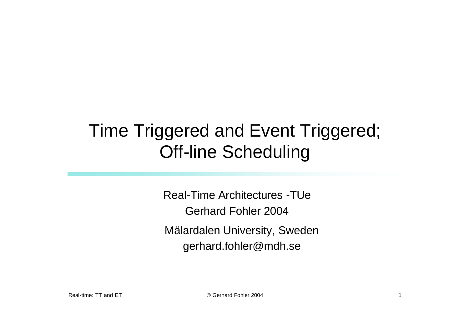# Time Triggered and Event Triggered; Off-line Scheduling

Real-Time Architectures -TUe Gerhard Fohler 2004 Mälardalen University, Sweden gerhard.fohler@mdh.se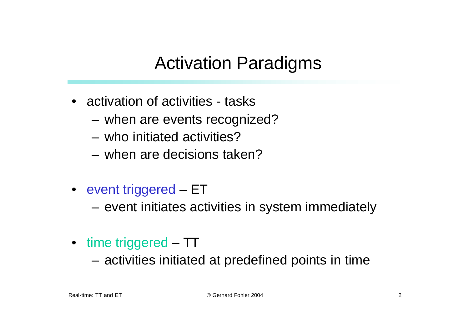### Activation Paradigms

- activation of activities tasks
	- when are events recognized?
	- who initiated activities?
	- when are decisions taken?
- event triggered ET
	- event initiates activities in system immediately
- time triggered TT
	- activities initiated at predefined points in time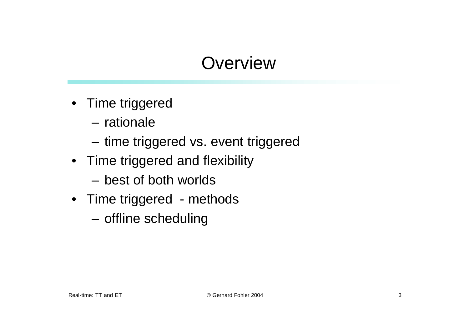# **Overview**

- Time triggered
	- rationale
	- time triggered vs. event triggered
- Time triggered and flexibility
	- best of both worlds
- Time triggered methods
	- offline scheduling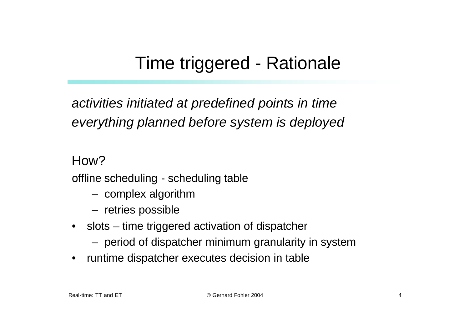## Time triggered - Rationale

*activities initiated at predefined points in time everything planned before system is deployed*

How?

offline scheduling - scheduling table

- complex algorithm
- retries possible
- slots time triggered activation of dispatcher
	- period of dispatcher minimum granularity in system
- runtime dispatcher executes decision in table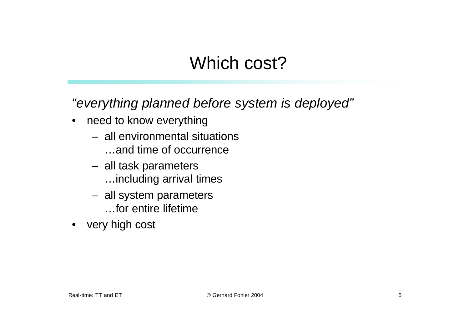### Which cost?

*"everything planned before system is deployed"*

- need to know everything
	- all environmental situations …and time of occurrence
	- all task parameters …including arrival times
	- all system parameters …for entire lifetime
- very high cost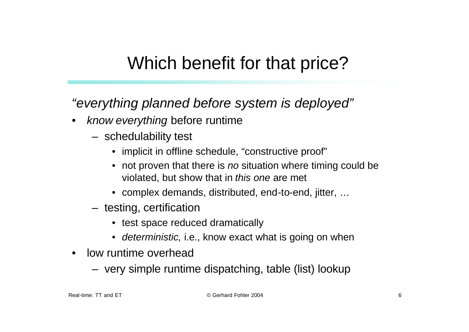### Which benefit for that price?

*"everything planned before system is deployed"*

- *know everything* before runtime
	- schedulability test
		- implicit in offline schedule, "constructive proof"
		- not proven that there is *no* situation where timing could be violated, but show that in *this one* are met
		- complex demands, distributed, end-to-end, jitter, …
	- testing, certification
		- test space reduced dramatically
		- *deterministic,* i.e., know exact what is going on when
- low runtime overhead
	- very simple runtime dispatching, table (list) lookup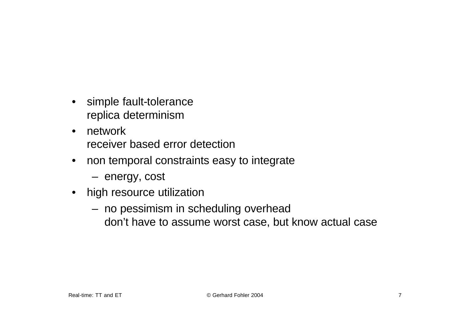- simple fault-tolerance replica determinism
- network receiver based error detection
- non temporal constraints easy to integrate
	- energy, cost
- high resource utilization
	- no pessimism in scheduling overhead don't have to assume worst case, but know actual case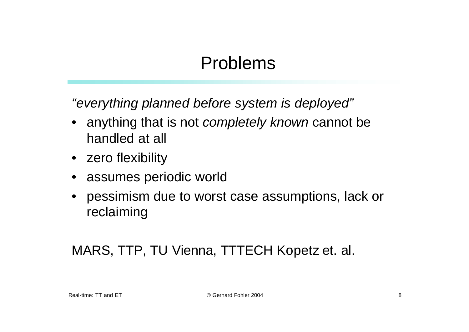### Problems

*"everything planned before system is deployed"*

- anything that is not *completely known* cannot be handled at all
- zero flexibility
- assumes periodic world
- pessimism due to worst case assumptions, lack or reclaiming

#### MARS, TTP, TU Vienna, TTTECH Kopetz et. al.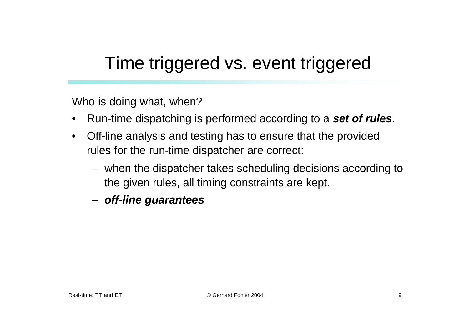### Time triggered vs. event triggered

Who is doing what, when?

- Run-time dispatching is performed according to a *set of rules*.
- Off-line analysis and testing has to ensure that the provided rules for the run-time dispatcher are correct:
	- when the dispatcher takes scheduling decisions according to the given rules, all timing constraints are kept.
	- *off-line guarantees*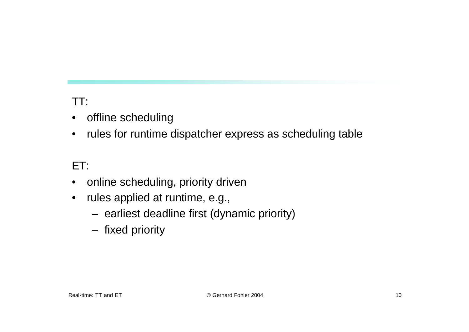#### TT:

- offline scheduling
- rules for runtime dispatcher express as scheduling table

#### ET:

- online scheduling, priority driven
- rules applied at runtime, e.g.,
	- earliest deadline first (dynamic priority)
	- fixed priority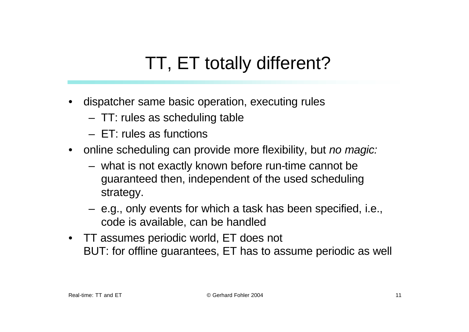# TT, ET totally different?

- dispatcher same basic operation, executing rules
	- TT: rules as scheduling table
	- ET: rules as functions
- online scheduling can provide more flexibility, but *no magic:* 
	- what is not exactly known before run-time cannot be guaranteed then, independent of the used scheduling strategy.
	- e.g., only events for which a task has been specified, i.e., code is available, can be handled
- TT assumes periodic world, ET does not BUT: for offline guarantees, ET has to assume periodic as well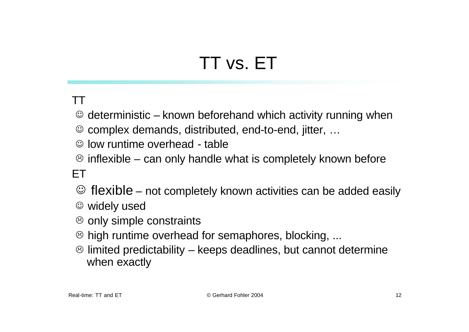# TT vs. ET

#### TT

- $\odot$  deterministic known beforehand which activity running when
- $\odot$  complex demands, distributed, end-to-end, jitter, ...
- $\odot$  low runtime overhead table
- $\odot$  inflexible can only handle what is completely known before

#### ET

- $\odot$  flexible not completely known activities can be added easily
- $\circledcirc$  widely used
- $\circledcirc$  only simple constraints
- $\odot$  high runtime overhead for semaphores, blocking, ...
- $\odot$  limited predictability keeps deadlines, but cannot determine when exactly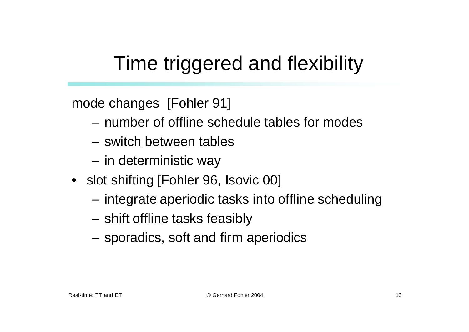# Time triggered and flexibility

mode changes [Fohler 91]

- number of offline schedule tables for modes
- switch between tables
- in deterministic way
- slot shifting [Fohler 96, Isovic 00]
	- integrate aperiodic tasks into offline scheduling
	- shift offline tasks feasibly
	- sporadics, soft and firm aperiodics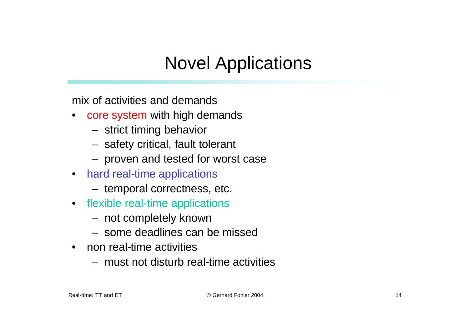# Novel Applications

mix of activities and demands

- core system with high demands
	- strict timing behavior
	- safety critical, fault tolerant
	- proven and tested for worst case
- hard real-time applications
	- temporal correctness, etc.
- flexible real-time applications
	- not completely known
	- some deadlines can be missed
- non real-time activities
	- must not disturb real-time activities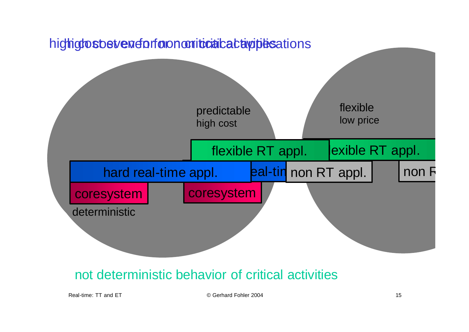

#### not deterministic behavior of critical activities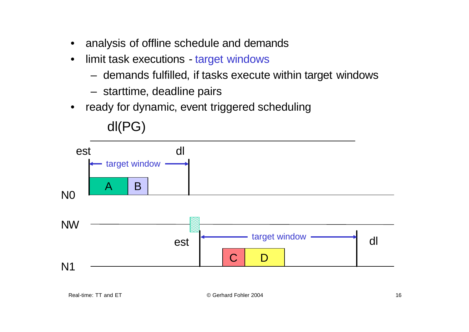- analysis of offline schedule and demands
- limit task executions target windows
	- demands fulfilled, if tasks execute within target windows
	- starttime, deadline pairs

dl(PG)

• ready for dynamic, event triggered scheduling



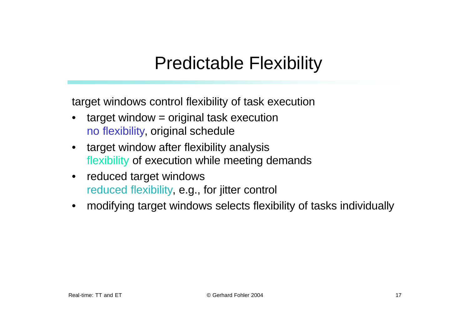### Predictable Flexibility

target windows control flexibility of task execution

- $target$  window  $=$  original task execution no flexibility, original schedule
- target window after flexibility analysis flexibility of execution while meeting demands
- reduced target windows reduced flexibility, e.g., for jitter control
- modifying target windows selects flexibility of tasks individually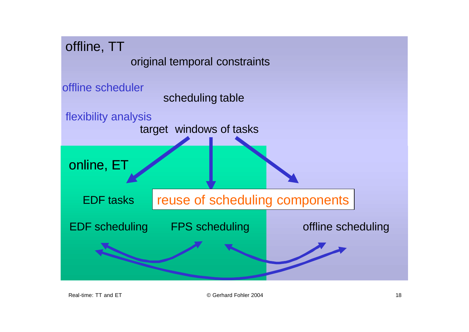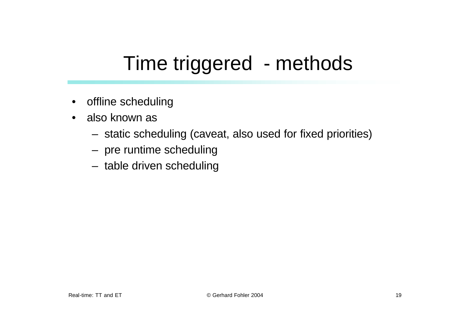# Time triggered - methods

- offline scheduling
- also known as
	- static scheduling (caveat, also used for fixed priorities)
	- pre runtime scheduling
	- table driven scheduling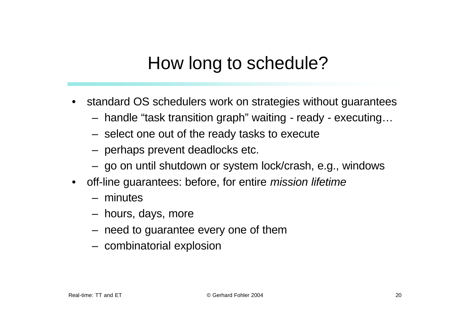### How long to schedule?

- standard OS schedulers work on strategies without guarantees
	- handle "task transition graph" waiting ready executing…
	- select one out of the ready tasks to execute
	- perhaps prevent deadlocks etc.
	- go on until shutdown or system lock/crash, e.g., windows
- off-line guarantees: before, for entire *mission lifetime*
	- minutes
	- hours, days, more
	- need to guarantee every one of them
	- combinatorial explosion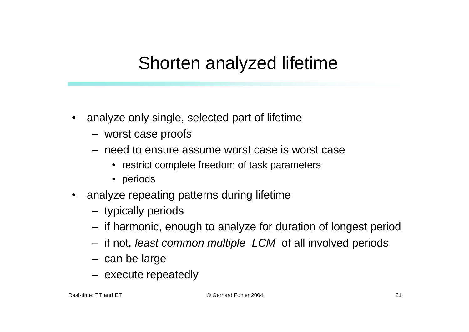#### Shorten analyzed lifetime

- analyze only single, selected part of lifetime
	- worst case proofs
	- need to ensure assume worst case is worst case
		- restrict complete freedom of task parameters
		- periods
- analyze repeating patterns during lifetime
	- typically periods
	- if harmonic, enough to analyze for duration of longest period
	- if not, *least common multiple LCM* of all involved periods
	- can be large
	- execute repeatedly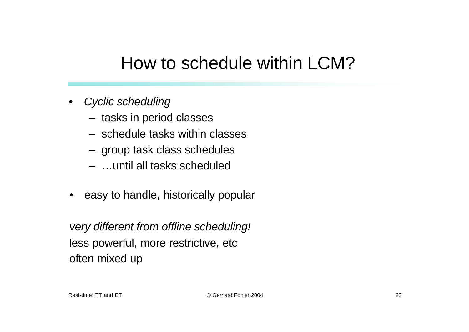#### How to schedule within LCM?

- *Cyclic scheduling*
	- tasks in period classes
	- schedule tasks within classes
	- group task class schedules
	- …until all tasks scheduled
- easy to handle, historically popular

*very different from offline scheduling!* less powerful, more restrictive, etc often mixed up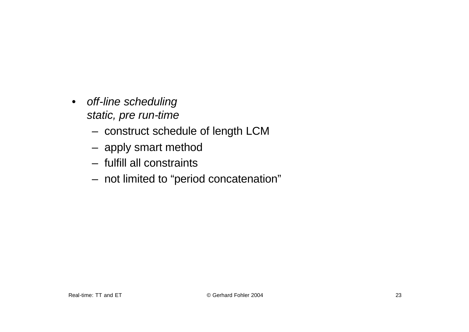- *off-line scheduling static, pre run-time*
	- construct schedule of length LCM
	- apply smart method
	- fulfill all constraints
	- not limited to "period concatenation"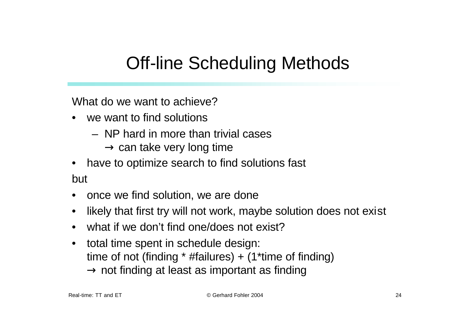# Off-line Scheduling Methods

What do we want to achieve?

- we want to find solutions
	- NP hard in more than trivial cases
		- $\rightarrow$  can take very long time
- have to optimize search to find solutions fast but
- once we find solution, we are done
- likely that first try will not work, maybe solution does not exist
- what if we don't find one/does not exist?
- total time spent in schedule design: time of not (finding  $*$  #failures) + (1 $*$ time of finding)  $\rightarrow$  not finding at least as important as finding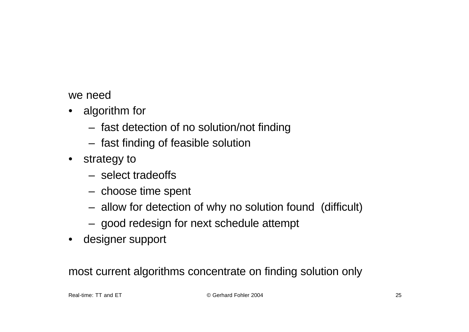we need

- algorithm for
	- fast detection of no solution/not finding
	- fast finding of feasible solution
- strategy to
	- select tradeoffs
	- choose time spent
	- allow for detection of why no solution found (difficult)
	- good redesign for next schedule attempt
- designer support

most current algorithms concentrate on finding solution only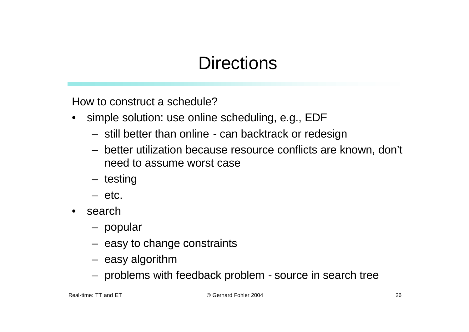## **Directions**

How to construct a schedule?

- simple solution: use online scheduling, e.g., EDF
	- still better than online can backtrack or redesign
	- better utilization because resource conflicts are known, don't need to assume worst case
	- testing
	- etc.
- search
	- popular
	- easy to change constraints
	- easy algorithm
	- problems with feedback problem source in search tree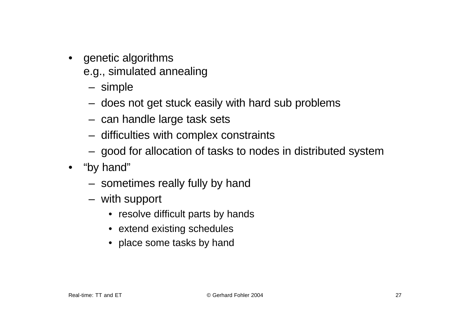- genetic algorithms e.g., simulated annealing
	- simple
	- does not get stuck easily with hard sub problems
	- can handle large task sets
	- difficulties with complex constraints
	- good for allocation of tasks to nodes in distributed system
- "by hand"
	- sometimes really fully by hand
	- with support
		- resolve difficult parts by hands
		- extend existing schedules
		- place some tasks by hand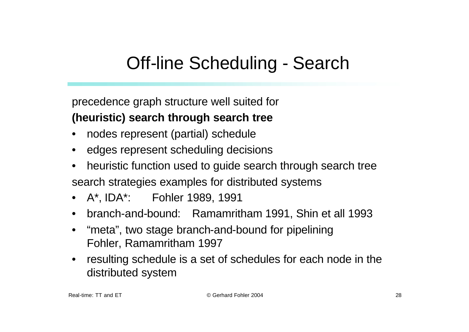# Off-line Scheduling - Search

precedence graph structure well suited for **(heuristic) search through search tree**

- nodes represent (partial) schedule
- edges represent scheduling decisions
- heuristic function used to guide search through search tree search strategies examples for distributed systems
- A\*, IDA\*: Fohler 1989, 1991
- branch-and-bound: Ramamritham 1991, Shin et all 1993
- "meta", two stage branch-and-bound for pipelining Fohler, Ramamritham 1997
- resulting schedule is a set of schedules for each node in the distributed system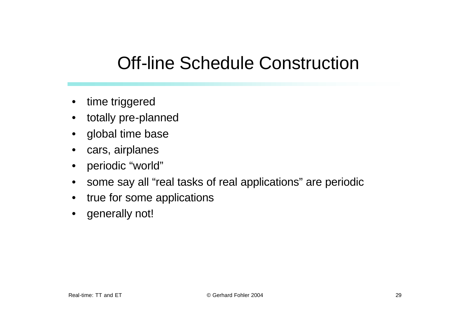### Off-line Schedule Construction

- time triggered
- totally pre-planned
- global time base
- cars, airplanes
- periodic "world"
- some say all "real tasks of real applications" are periodic
- true for some applications
- generally not!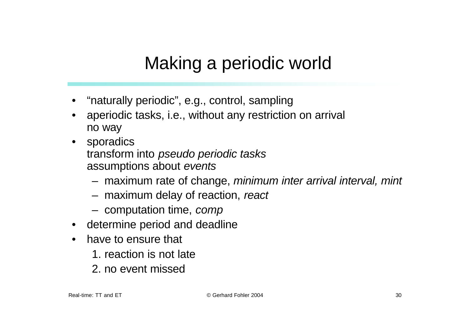# Making a periodic world

- "naturally periodic", e.g., control, sampling
- aperiodic tasks, i.e., without any restriction on arrival no way
- sporadics transform into *pseudo periodic tasks* assumptions about *events*
	- maximum rate of change, *minimum inter arrival interval, mint*
	- maximum delay of reaction, *react*
	- computation time, *comp*
- determine period and deadline
- have to ensure that
	- 1. reaction is not late
	- 2. no event missed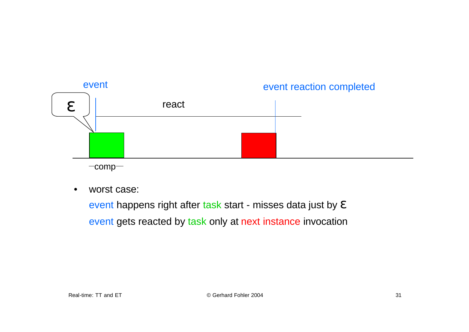

 $-comp-$ 

worst case:

event happens right after task start - misses data just by *e* event gets reacted by task only at next instance invocation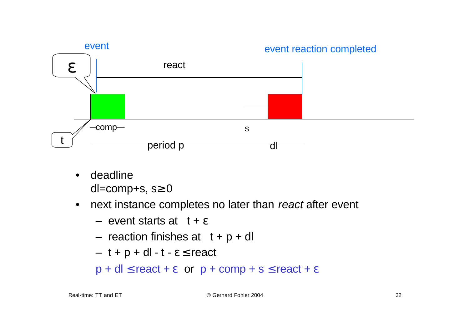

• deadline dl=comp+s,  $s \ge 0$ 

#### • next instance completes no later than *react* after event

- $-$  event starts at  $t + e$
- reaction finishes at  $t + p + dl$
- $t + p + dl t e \le$  react

 $p + dl \le$  react + **e** or  $p +$  comp + s  $\le$  react + **e**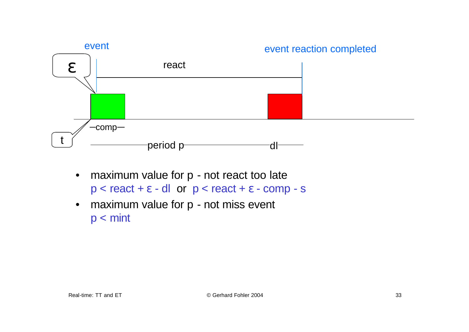

- maximum value for p not react too late  $p <$  react +  $e$  - dl or  $p <$  react +  $e$  - comp - s
- maximum value for p not miss event p < mint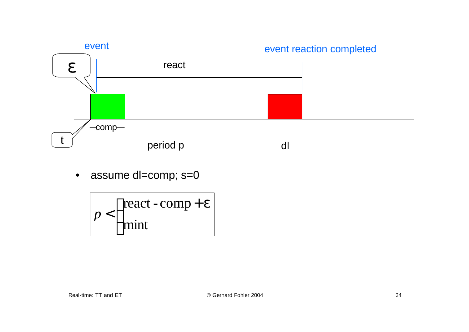

• assume dl=comp; s=0

$$
p < \begin{cases} \text{react} - \text{comp} + e \\ \text{mint} \end{cases}
$$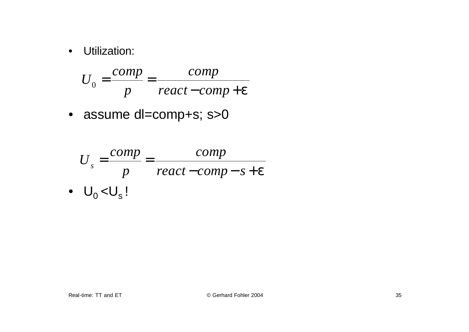• Utilization:

$$
U_0 = \frac{comp}{p} = \frac{comp}{react - comp + e}
$$

• assume dl=comp+s; s>0

$$
U_s = \frac{comp}{p} = \frac{comp}{react - comp - s + e}
$$
  
•  $U_0 < U_s$ !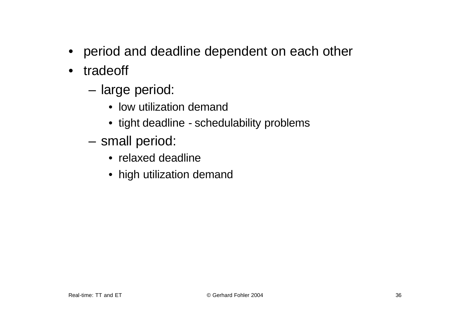- period and deadline dependent on each other
- tradeoff
	- large period:
		- low utilization demand
		- tight deadline schedulability problems
	- small period:
		- relaxed deadline
		- high utilization demand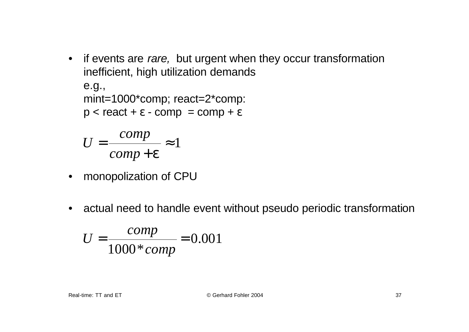• if events are *rare,* but urgent when they occur transformation inefficient, high utilization demands e.g.,

mint=1000\*comp; react=2\*comp:

 $p <$  react +  $e$  - comp = comp +  $e$ 

$$
U = \frac{comp}{comp + e} \approx 1
$$

- monopolization of CPU
- actual need to handle event without pseudo periodic transformation

$$
U = \frac{comp}{1000 * comp} = 0.001
$$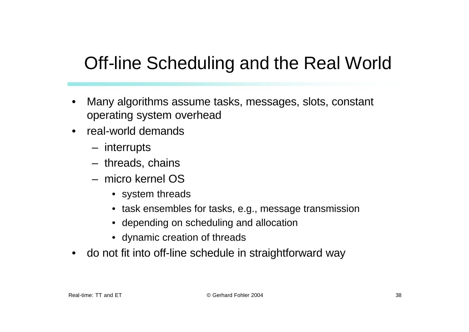## Off-line Scheduling and the Real World

- Many algorithms assume tasks, messages, slots, constant operating system overhead
- real-world demands
	- interrupts
	- threads, chains
	- micro kernel OS
		- system threads
		- task ensembles for tasks, e.g., message transmission
		- depending on scheduling and allocation
		- dynamic creation of threads
- do not fit into off-line schedule in straightforward way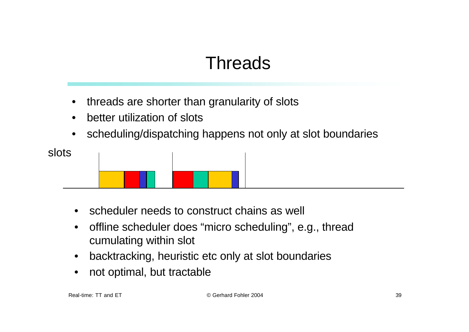# Threads

- threads are shorter than granularity of slots
- better utilization of slots
- scheduling/dispatching happens not only at slot boundaries



- scheduler needs to construct chains as well
- offline scheduler does "micro scheduling", e.g., thread cumulating within slot
- backtracking, heuristic etc only at slot boundaries
- not optimal, but tractable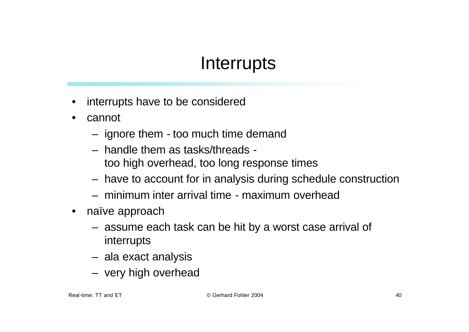### Interrupts

- interrupts have to be considered
- cannot
	- ignore them too much time demand
	- handle them as tasks/threads too high overhead, too long response times
	- have to account for in analysis during schedule construction
	- minimum inter arrival time maximum overhead
- naïve approach
	- assume each task can be hit by a worst case arrival of interrupts
	- ala exact analysis
	- very high overhead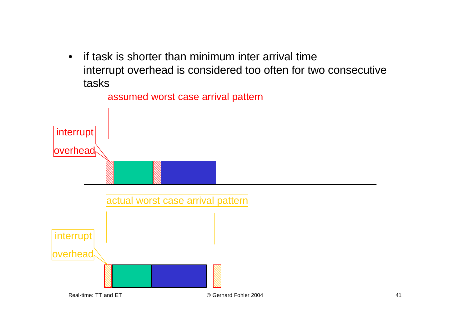• if task is shorter than minimum inter arrival time interrupt overhead is considered too often for two consecutive tasks

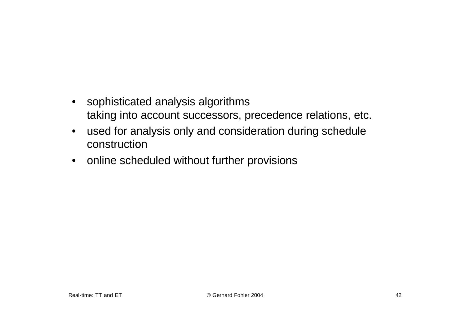- sophisticated analysis algorithms taking into account successors, precedence relations, etc.
- used for analysis only and consideration during schedule construction
- online scheduled without further provisions